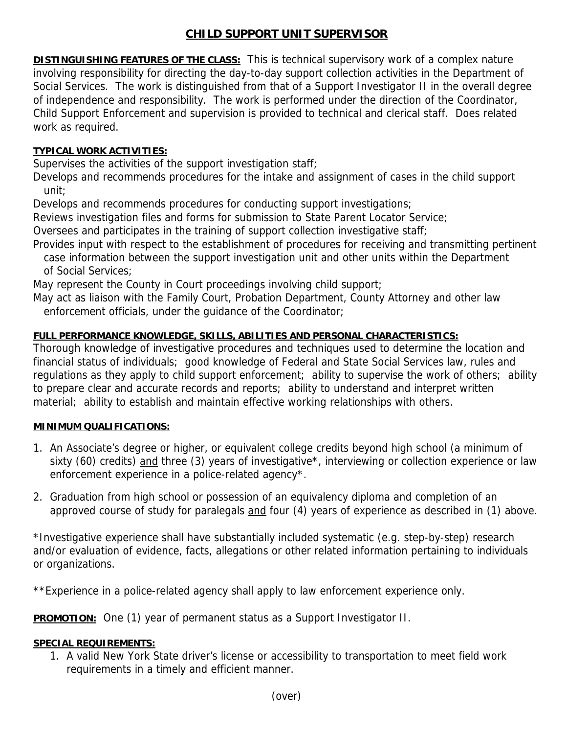# **CHILD SUPPORT UNIT SUPERVISOR**

**DISTINGUISHING FEATURES OF THE CLASS:** This is technical supervisory work of a complex nature involving responsibility for directing the day-to-day support collection activities in the Department of Social Services. The work is distinguished from that of a Support Investigator II in the overall degree of independence and responsibility. The work is performed under the direction of the Coordinator, Child Support Enforcement and supervision is provided to technical and clerical staff. Does related work as required.

## **TYPICAL WORK ACTIVITIES:**

Supervises the activities of the support investigation staff;

Develops and recommends procedures for the intake and assignment of cases in the child support unit;

Develops and recommends procedures for conducting support investigations;

Reviews investigation files and forms for submission to State Parent Locator Service;

Oversees and participates in the training of support collection investigative staff;

Provides input with respect to the establishment of procedures for receiving and transmitting pertinent case information between the support investigation unit and other units within the Department of Social Services;

May represent the County in Court proceedings involving child support;

May act as liaison with the Family Court, Probation Department, County Attorney and other law enforcement officials, under the guidance of the Coordinator;

## **FULL PERFORMANCE KNOWLEDGE, SKILLS, ABILITIES AND PERSONAL CHARACTERISTICS:**

Thorough knowledge of investigative procedures and techniques used to determine the location and financial status of individuals; good knowledge of Federal and State Social Services law, rules and regulations as they apply to child support enforcement; ability to supervise the work of others; ability to prepare clear and accurate records and reports; ability to understand and interpret written material; ability to establish and maintain effective working relationships with others.

## **MINIMUM QUALIFICATIONS:**

- 1. An Associate's degree or higher, or equivalent college credits beyond high school (a minimum of sixty (60) credits) and three (3) years of investigative\*, interviewing or collection experience or law enforcement experience in a police-related agency\*.
- 2. Graduation from high school or possession of an equivalency diploma and completion of an approved course of study for paralegals and four (4) years of experience as described in (1) above.

\*Investigative experience shall have substantially included systematic (e.g. step-by-step) research and/or evaluation of evidence, facts, allegations or other related information pertaining to individuals or organizations.

\*\*Experience in a police-related agency shall apply to law enforcement experience only.

**PROMOTION:** One (1) year of permanent status as a Support Investigator II.

## **SPECIAL REQUIREMENTS:**

1. A valid New York State driver's license or accessibility to transportation to meet field work requirements in a timely and efficient manner.